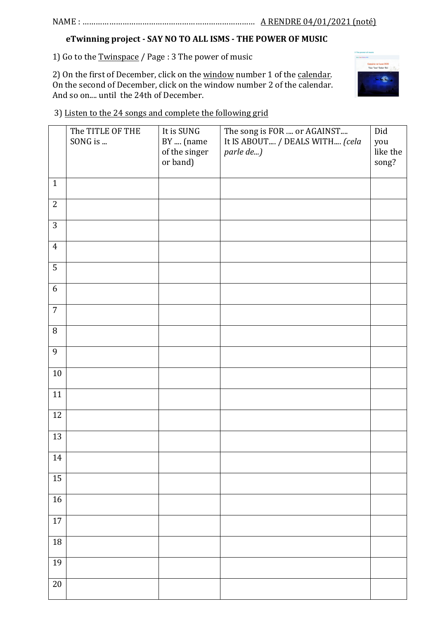## NAME : …………………………………………………………………… A RENDRE 04/01/2021 (noté)

# **eTwinning project - SAY NO TO ALL ISMS - THE POWER OF MUSIC**

1) Go to the Twinspace / Page : 3 The power of music

2) On the first of December, click on the window number 1 of the calendar. On the second of December, click on the window number 2 of the calendar. And so on.... until the 24th of December.



3) Listen to the 24 songs and complete the following grid

|                | The TITLE OF THE | It is SUNG                 | The song is FOR  or AGAINST                 | Did             |
|----------------|------------------|----------------------------|---------------------------------------------|-----------------|
|                | SONG is          | BY  (name<br>of the singer | It IS ABOUT / DEALS WITH (cela<br>parle de) | you<br>like the |
|                |                  | or band)                   |                                             | song?           |
| $\mathbf{1}$   |                  |                            |                                             |                 |
|                |                  |                            |                                             |                 |
| $\mathbf{2}$   |                  |                            |                                             |                 |
| 3              |                  |                            |                                             |                 |
| $\overline{4}$ |                  |                            |                                             |                 |
| $\overline{5}$ |                  |                            |                                             |                 |
| $6\,$          |                  |                            |                                             |                 |
| $\overline{7}$ |                  |                            |                                             |                 |
| $\, 8$         |                  |                            |                                             |                 |
| 9              |                  |                            |                                             |                 |
| $10\,$         |                  |                            |                                             |                 |
| 11             |                  |                            |                                             |                 |
| 12             |                  |                            |                                             |                 |
| 13             |                  |                            |                                             |                 |
| 14             |                  |                            |                                             |                 |
| 15             |                  |                            |                                             |                 |
| 16             |                  |                            |                                             |                 |
|                |                  |                            |                                             |                 |
| $17\,$         |                  |                            |                                             |                 |
| $18\,$         |                  |                            |                                             |                 |
| 19             |                  |                            |                                             |                 |
| $20\,$         |                  |                            |                                             |                 |